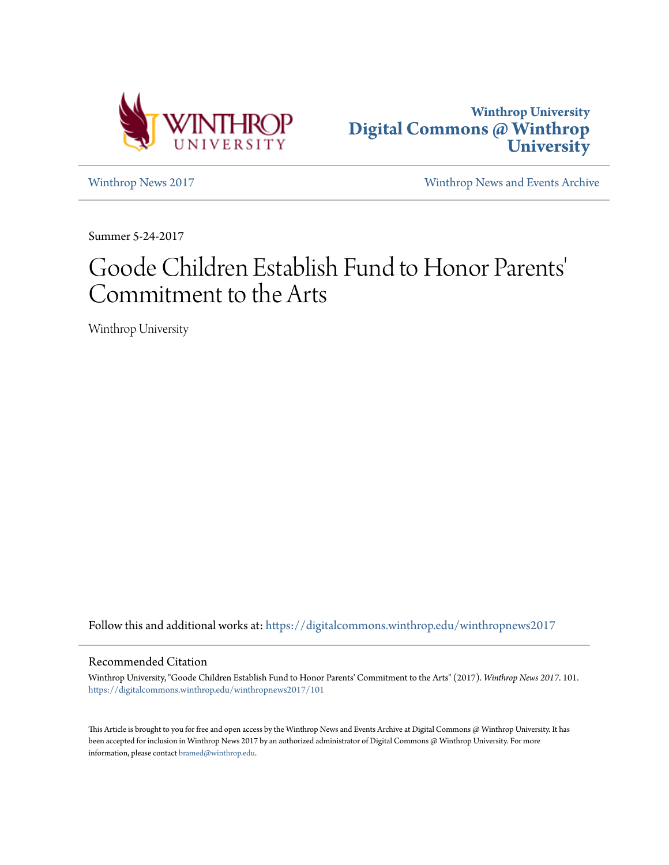



[Winthrop News 2017](https://digitalcommons.winthrop.edu/winthropnews2017?utm_source=digitalcommons.winthrop.edu%2Fwinthropnews2017%2F101&utm_medium=PDF&utm_campaign=PDFCoverPages) [Winthrop News and Events Archive](https://digitalcommons.winthrop.edu/winthropnewsarchives?utm_source=digitalcommons.winthrop.edu%2Fwinthropnews2017%2F101&utm_medium=PDF&utm_campaign=PDFCoverPages)

Summer 5-24-2017

# Goode Children Establish Fund to Honor Parents 'Commitment to the Arts

Winthrop University

Follow this and additional works at: [https://digitalcommons.winthrop.edu/winthropnews2017](https://digitalcommons.winthrop.edu/winthropnews2017?utm_source=digitalcommons.winthrop.edu%2Fwinthropnews2017%2F101&utm_medium=PDF&utm_campaign=PDFCoverPages)

### Recommended Citation

Winthrop University, "Goode Children Establish Fund to Honor Parents' Commitment to the Arts" (2017). *Winthrop News 2017*. 101. [https://digitalcommons.winthrop.edu/winthropnews2017/101](https://digitalcommons.winthrop.edu/winthropnews2017/101?utm_source=digitalcommons.winthrop.edu%2Fwinthropnews2017%2F101&utm_medium=PDF&utm_campaign=PDFCoverPages)

This Article is brought to you for free and open access by the Winthrop News and Events Archive at Digital Commons @ Winthrop University. It has been accepted for inclusion in Winthrop News 2017 by an authorized administrator of Digital Commons @ Winthrop University. For more information, please contact [bramed@winthrop.edu](mailto:bramed@winthrop.edu).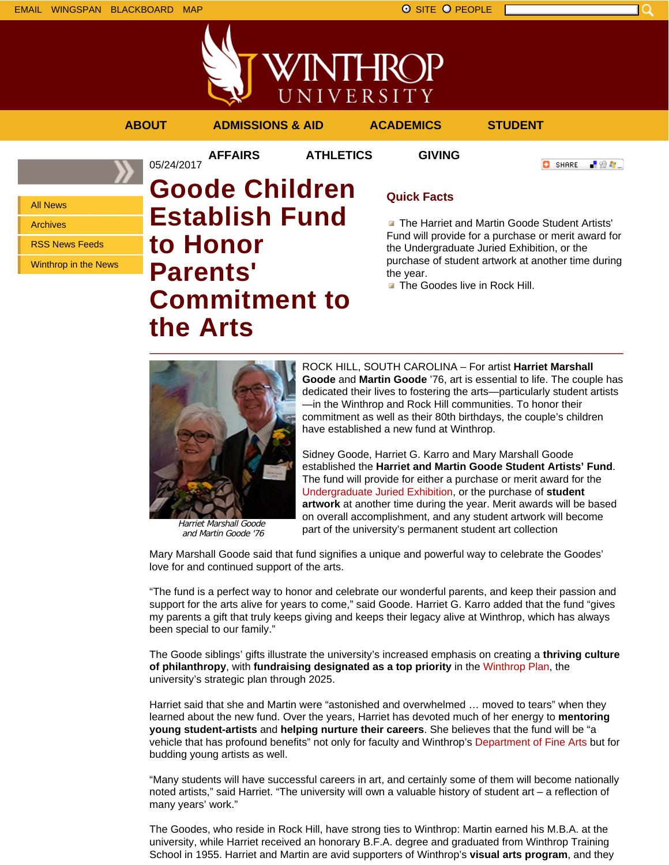



**AFFAIRS ATHLETICS GIVING**

05/24/2017

**ABOUT ADMISSIONS & AID ACADEMICS STUDENT**

**O** SHARE - 89 年 -

All News

Archives

RSS News Feeds

Winthrop in the News

# **Goode Children Establish Fund to Honor Parents' Commitment to the Arts**

## **Quick Facts**

**The Harriet and Martin Goode Student Artists'** Fund will provide for a purchase or merit award for the Undergraduate Juried Exhibition, or the purchase of student artwork at another time during the year.

**The Goodes live in Rock Hill.** 



Harriet Marshall Goode and Martin Goode '76

ROCK HILL, SOUTH CAROLINA – For artist **Harriet Marshall Goode** and **Martin Goode** '76, art is essential to life. The couple has dedicated their lives to fostering the arts—particularly student artists —in the Winthrop and Rock Hill communities. To honor their commitment as well as their 80th birthdays, the couple's children have established a new fund at Winthrop.

Sidney Goode, Harriet G. Karro and Mary Marshall Goode established the **Harriet and Martin Goode Student Artists' Fund**. The fund will provide for either a purchase or merit award for the Undergraduate Juried Exhibition, or the purchase of **student artwork** at another time during the year. Merit awards will be based on overall accomplishment, and any student artwork will become part of the university's permanent student art collection

Mary Marshall Goode said that fund signifies a unique and powerful way to celebrate the Goodes' love for and continued support of the arts.

"The fund is a perfect way to honor and celebrate our wonderful parents, and keep their passion and support for the arts alive for years to come," said Goode. Harriet G. Karro added that the fund "gives my parents a gift that truly keeps giving and keeps their legacy alive at Winthrop, which has always been special to our family."

The Goode siblings' gifts illustrate the university's increased emphasis on creating a **thriving culture of philanthropy**, with **fundraising designated as a top priority** in the Winthrop Plan, the university's strategic plan through 2025.

Harriet said that she and Martin were "astonished and overwhelmed … moved to tears" when they learned about the new fund. Over the years, Harriet has devoted much of her energy to **mentoring young student-artists** and **helping nurture their careers**. She believes that the fund will be "a vehicle that has profound benefits" not only for faculty and Winthrop's Department of Fine Arts but for budding young artists as well.

"Many students will have successful careers in art, and certainly some of them will become nationally noted artists," said Harriet. "The university will own a valuable history of student art – a reflection of many years' work."

The Goodes, who reside in Rock Hill, have strong ties to Winthrop: Martin earned his M.B.A. at the university, while Harriet received an honorary B.F.A. degree and graduated from Winthrop Training School in 1955. Harriet and Martin are avid supporters of Winthrop's **visual arts program**, and they